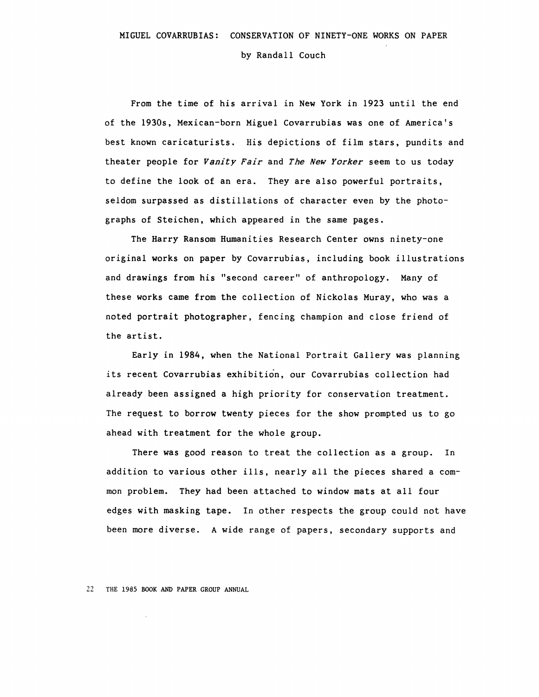by Randall Couch

From the time of his arrival in New York in 1923 until the end of the 1930s, Mexican-born Miguel Covarrubias was one of America's best known caricaturists. His depictions of film stars, pundits and theater people for *Vanity Fair* and *The New Yorker* seem to us today to define the look of an era. They are also powerful portraits, seldom surpassed as distillations of character even by the photographs of Steichen, which appeared in the same pages.

The Harry Ransom Humanities Research Center owns ninety-one original works on paper by Covarrubias, including book illustrations and drawings from his "second career" of anthropology. Many of these works came from the collection of Nickolas Muray, who was a noted portrait photographer, fencing champion and close friend of the artist.

Early in 1984, when the National Portrait Gallery was planning its recent Covarrubias exhibition, our Covarrubias collection had already been assigned a high priority for conservation treatment. The request to borrow twenty pieces for the show prompted us to go ahead with treatment for the whole group.

There was good reason to treat the collection as a group. In addition to various other ills, nearly all the pieces shared a common problem. They had been attached to window mats at all four edges with masking tape. In other respects the group could not have been more diverse. A wide range of papers, secondary supports and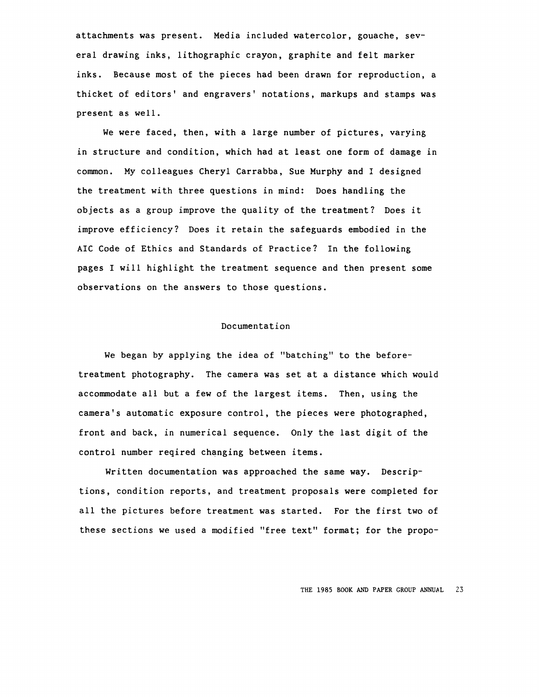attachments was present. Media included watercolor, gouache, several drawing inks, lithographic crayon, graphite and felt marker inks. Because most of the pieces had been drawn for reproduction, a thicket of editors' and engravers' notations, markups and stamps was present as well.

We were faced, then, with a large number of pictures, varying in structure and condition, which had at least one form of damage in common. My colleagues Cheryl Carrabba, Sue Murphy and I designed the treatment with three questions in mind: Does handling the objects as a group improve the quality of the treatment? Does it improve efficiency? Does it retain the safeguards embodied in the AIC Code of Ethics and Standards of Practice? In the following pages I will highlight the treatment sequence and then present some observations on the answers to those questions.

#### Documentation

We began by applying the idea of "batching" to the beforetreatment photography. The camera was set at a distance which would accommodate all but a few of the largest items. Then, using the camera's automatic exposure control, the pieces were photographed, front and back, in numerical sequence. Only the last digit of the control number reqired changing between items.

Written documentation was approached the same way. Descriptions, condition reports, and treatment proposals were completed for all the pictures before treatment was started. For the first two of these sections we used a modified "free text" format; for the propo-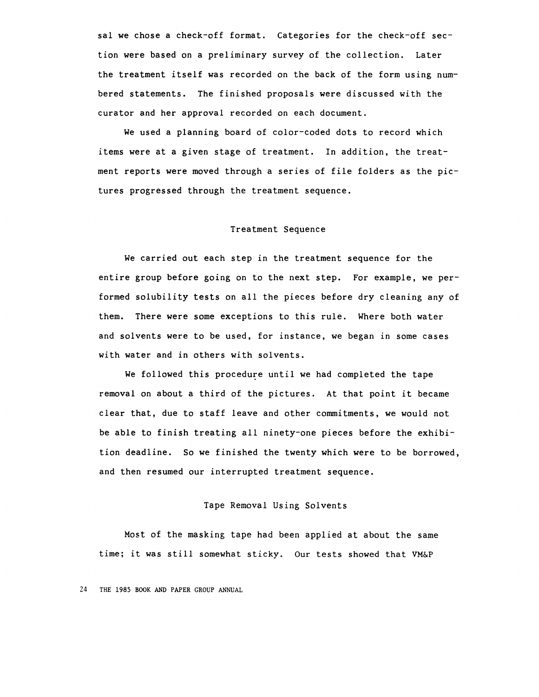sal we chose a check-off format. Categories for the check-off section were based on a preliminary survey of the collection. Later the treatment itself was recorded on the back of the form using numbered statements. The finished proposals were discussed with the curator and her approval recorded on each document.

We used a planning board of color-coded dots to record which items were at a given stage of treatment. In addition, the treatment reports were moved through a series of file folders as the pictures progressed through the treatment sequence.

### Treatment Sequence

We carried out each step in the treatment sequence for the entire group before going on to the next step. For example, we performed solubility tests on all the pieces before dry cleaning any of them. There were some exceptions to this rule. Where both water and solvents were to be used, for instance, we began in some cases with water and in others with solvents.

We followed this procedure until we had completed the tape removal on about a third of the pictures. At that point it became clear that, due to staff leave and other commitments, we would not be able to finish treating all ninety-one pieces before the exhibition deadline. So we finished the twenty which were to be borrowed, and then resumed our interrupted treatment sequence.

# Tape Removal Using Solvents

Most of the masking tape had been applied at about the same time; it was still somewhat sticky. Our tests showed that **VM&P**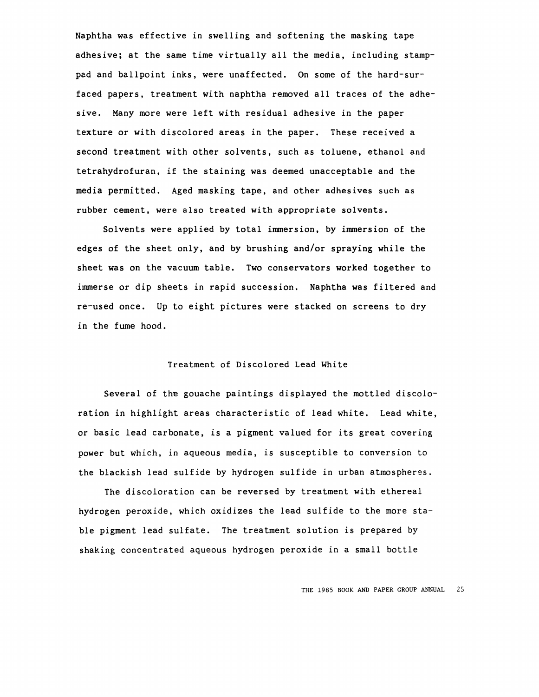Naphtha was effective in swelling and softening the masking tape adhesive; at the same time virtually all the media, including stamppad and ballpoint inks, were unaffected. On some of the hard-surfaced papers, treatment with naphtha removed all traces of the adhesive. Many more were left with residual adhesive in the paper texture or with discolored areas in the paper. These received a second treatment with other solvents, such as toluene, ethanol and tetrahydrofuran, if the staining was deemed unacceptable and the media permitted. Aged masking tape, and other adhesives such as rubber cement, were also treated with appropriate solvents.

Solvents were applied by total immersion, by immersion of the edges of the sheet only, and by brushing and/or spraying while the sheet was on the vacuum table. Two conservators worked together to immerse or dip sheets in rapid succession. Naphtha was filtered and re-used once. Up to eight pictures were stacked on screens to dry in the fume hood.

# Treatment of Discolored Lead White

Several of the gouache paintings displayed the mottled discoloration in highlight areas characteristic of lead white. Lead white, or basic lead carbonate, is a pigment valued for its great covering power but which, in aqueous media, is susceptible to conversion to the blackish lead sulfide by hydrogen sulfide in urban atmospheres.

The discoloration can be reversed by treatment with ethereal hydrogen peroxide, which oxidizes the lead sulfide to the more stable pigment lead sulfate. The treatment solution is prepared by shaking concentrated aqueous hydrogen peroxide in a small bottle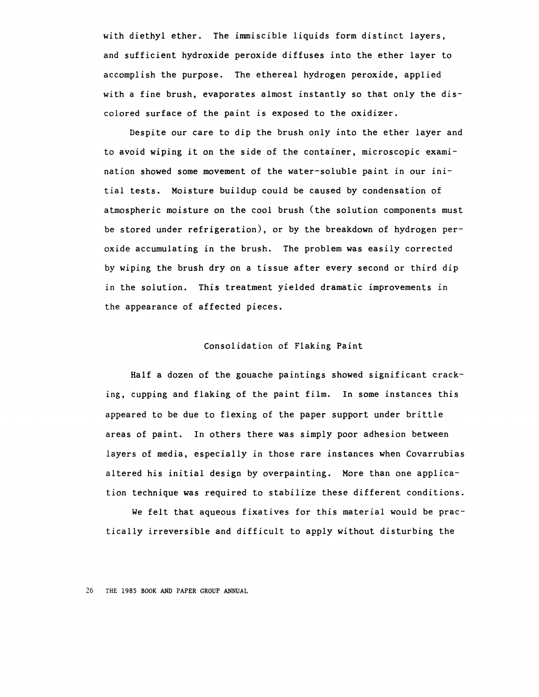with diethyl ether. The immiscible liquids form distinct layers, and sufficient hydroxide peroxide diffuses into the ether layer to accomplish the purpose. The ethereal hydrogen peroxide, applied with a fine brush, evaporates almost instantly so that only the discolored surface of the paint is exposed to the oxidizer.

Despite our care to dip the brush only into the ether layer and to avoid wiping it on the side of the container, microscopic examination showed some movement of the water-soluble paint in our initial tests. Moisture buildup could be caused by condensation of atmospheric moisture on the cool brush (the solution components must be stored under refrigeration), or by the breakdown of hydrogen peroxide accumulating in the brush. The problem was easily corrected by wiping the brush dry on a tissue after every second or third dip in the solution. This treatment yielded dramatic improvements in the appearance of affected pieces.

### Consolidation of Flaking Paint

Half a dozen of the gouache paintings showed significant cracking, cupping and flaking of the paint film. In some instances this appeared to be due to flexing of the paper support under brittle areas of paint. In others there was simply poor adhesion between layers of media, especially in those rare instances when Covarrubias altered his initial design by overpainting. More than one application technique was required to stabilize these different conditions.

We felt that aqueous fixatives for this material would be practically irreversible and difficult to apply without disturbing the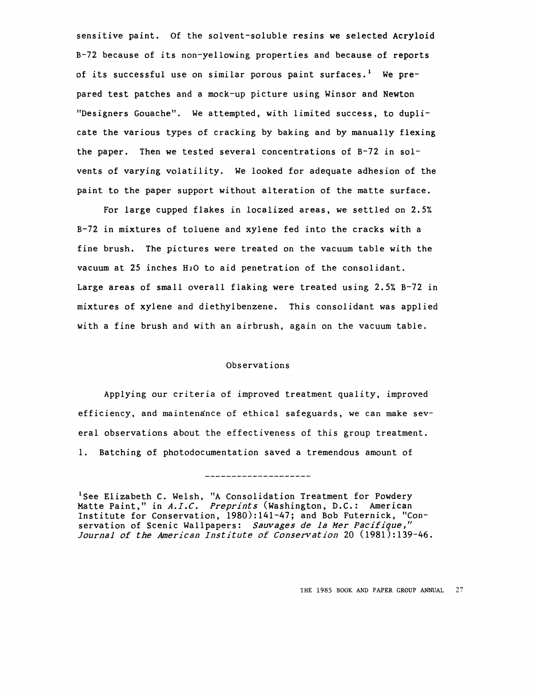sensitive paint. Of the solvent-soluble resins we selected Acryloid B-72 because of its non-yellowing properties and because of reports of its successful use on similar porous paint surfaces.<sup>1</sup> We prepared test patches and a mock-up picture using Winsor and Newton "Designers Gouache". We attempted, with limited success, to duplicate the various types of cracking by baking and by manually flexing the paper. Then we tested several concentrations of B-72 in solvents of varying volatility. We looked for adequate adhesion of the paint to the paper support without alteration of the matte surface.

For large cupped flakes in localized areas, we settled on 2.5% B-72 in mixtures of toluene and xylene fed into the cracks with a fine brush. The pictures were treated on the vacuum table with the vacuum at 25 inches H20 to aid penetration of the consolidant. Large areas of small overall flaking were treated using 2.5% B-72 in mixtures of xylene and diethylbenzene. This consolidant was applied with a fine brush and with an airbrush, again on the vacuum table.

# Observations

Applying our criteria of improved treatment quality, improved efficiency, and maintenance of ethical safeguards, we can make several observations about the effectiveness of this group treatment. 1. Batching of photodocumentation saved a tremendous amount of

<sup>1</sup>See Elizabeth C. Welsh, "A Consolidation Treatment for Powdery Matte Paint," in *A.I.C. Preprints* (Washington, D.C.: American Institute for Conservation, 1980):141-47; and Bob Futernick, "Conservation of Scenic Wallpapers: *Sauvages de la Mer Pacifique," Journal of the American Institute of Conservation* 20 (1981):139-46.

\_\_\_\_\_\_\_\_\_\_\_\_\_\_\_\_\_\_\_\_\_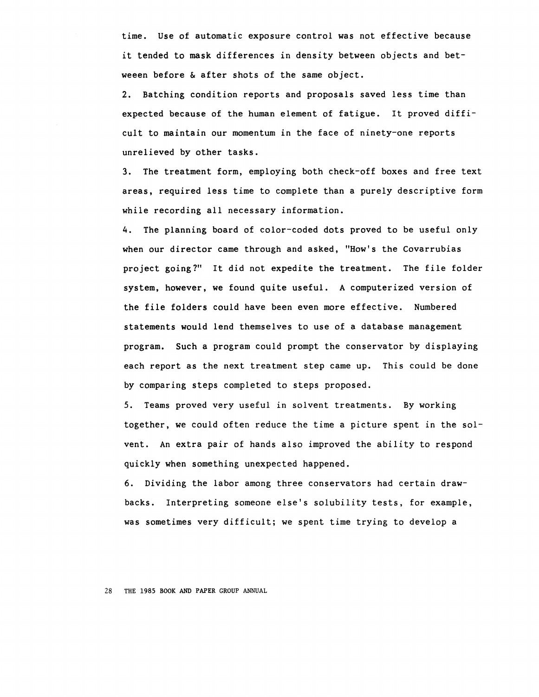time. Use of automatic exposure control was not effective because it tended to mask differences in density between objects and betweeen before & after shots of the same object.

2. Batching condition reports and proposals saved less time than expected because of the human element of fatigue. It proved difficult to maintain our momentum in the face of ninety-one reports unrelieved by other tasks.

3. The treatment form, employing both check-off boxes and free text areas, required less time to complete than a purely descriptive form while recording all necessary information.

4. The planning board of color-coded dots proved to be useful only when our director came through and asked, "How's the Covarrubias project going?" It did not expedite the treatment. The file folder system, however, we found quite useful. A computerized version of the file folders could have been even more effective. Numbered statements would lend themselves to use of a database management program. Such a program could prompt the conservator by displaying each report as the next treatment step came up. This could be done by comparing steps completed to steps proposed.

5. Teams proved very useful in solvent treatments. By working together, we could often reduce the time a picture spent in the solvent. An extra pair of hands also improved the ability to respond quickly when something unexpected happened.

6. Dividing the labor among three conservators had certain drawbacks. Interpreting someone else's solubility tests, for example, was sometimes very difficult; we spent time trying to develop a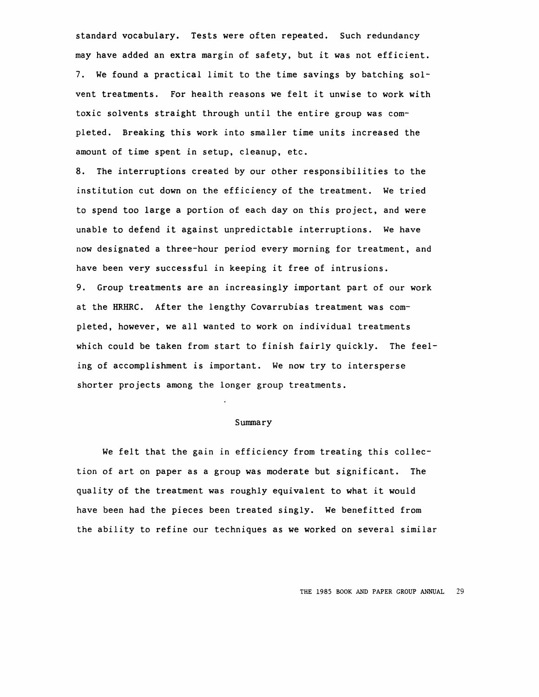standard vocabulary. Tests were often repeated. Such redundancy may have added an extra margin of safety, but it was not efficient. 7. We found a practical limit to the time savings by batching solvent treatments. For health reasons we felt it unwise to work with toxic solvents straight through until the entire group was completed. Breaking this work into smaller time units increased the amount of time spent in setup, cleanup, etc.

8. The interruptions created by our other responsibilities to the institution cut down on the efficiency of the treatment. We tried to spend too large a portion of each day on this project, and were unable to defend it against unpredictable interruptions. We have now designated a three-hour period every morning for treatment, and have been very successful in keeping it free of intrusions. 9. Group treatments are an increasingly important part of our work

at the HRHRC. After the lengthy Covarrubias treatment was completed, however, we all wanted to work on individual treatments which could be taken from start to finish fairly quickly. The feeling of accomplishment is important. We now try to intersperse shorter projects among the longer group treatments.

#### Summary

We felt that the gain in efficiency from treating this collection of art on paper as a group was moderate but significant. The quality of the treatment was roughly equivalent to what it would have been had the pieces been treated singly. We benefitted from the ability to refine our techniques as we worked on several similar